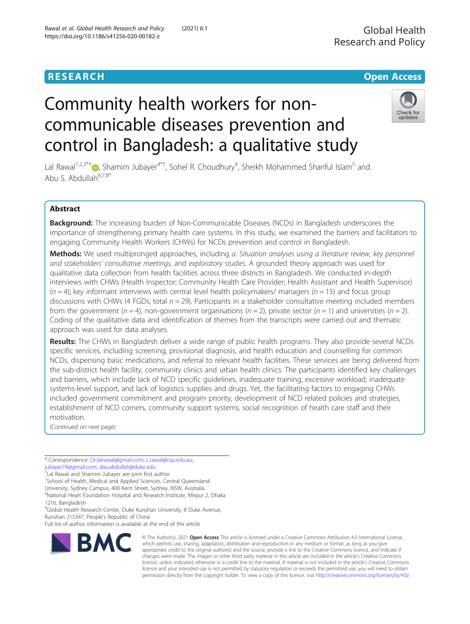# **RESEARCH CHE Open Access**

# Community health workers for noncommunicable diseases prevention and control in Bangladesh: a qualitative study



Lal Rawal<sup>1,2,3\*[†](http://orcid.org/0000-0003-1106-0108)</sup>®, Shamim Jubayer<sup>4\*†</sup>, Sohel R. Choudhury<sup>4</sup>, Sheikh Mohammed Shariful Islam<sup>5</sup> and Abu S. Abdullah $6,7,8$ \*

# Abstract

**Background:** The increasing burden of Non-Communicable Diseases (NCDs) in Bangladesh underscores the importance of strengthening primary health care systems. In this study, we examined the barriers and facilitators to engaging Community Health Workers (CHWs) for NCDs prevention and control in Bangladesh.

Methods: We used multipronged approaches, including a. Situation analyses using a literature review, key personnel and stakeholders' consultative meetings, and exploratory studies. A grounded theory approach was used for qualitative data collection from health facilities across three districts in Bangladesh. We conducted in-depth interviews with CHWs (Health Inspector; Community Health Care Provider; Health Assistant and Health Supervisor)  $(n = 4)$ ; key informant interviews with central level health policymakers/ managers  $(n = 15)$  and focus group discussions with CHWs (4 FGDs; total  $n = 29$ ). Participants in a stakeholder consultative meeting included members from the government ( $n = 4$ ), non-government organisations ( $n = 2$ ), private sector ( $n = 1$ ) and universities ( $n = 2$ ). Coding of the qualitative data and identification of themes from the transcripts were carried out and thematic approach was used for data analyses.

Results: The CHWs in Bangladesh deliver a wide range of public health programs. They also provide several NCDs specific services, including screening, provisional diagnosis, and health education and counselling for common NCDs, dispensing basic medications, and referral to relevant health facilities. These services are being delivered from the sub-district health facility, community clinics and urban health clinics. The participants identified key challenges and barriers, which include lack of NCD specific guidelines, inadequate training, excessive workload, inadequate systems-level support, and lack of logistics supplies and drugs. Yet, the facilitating factors to engaging CHWs included government commitment and program priority, development of NCD related policies and strategies, establishment of NCD corners, community support systems, social recognition of health care staff and their motivation.

(Continued on next page)

\* Correspondence: [Dr.lalrawal@gmail.com;](mailto:Dr.lalrawal@gmail.com) [L.rawal@cqu.edu.au;](mailto:L.rawal@cqu.edu.au) [jubayer74@gmail.com](mailto:jubayer74@gmail.com); [abu.abdullah@duke.edu](mailto:abu.abdullah@duke.edu) †

<sup>+</sup>Lal Rawal and Shamim Jubayer are joint first author.

<sup>1</sup>School of Health, Medical and Applied Sciences, Central Queensland University, Sydney Campus, 400 Kent Street, Sydney, NSW, Australia

4 National Heart Foundation Hospital and Research Institute, Mirpur 2, Dhaka 1216, Bangladesh

6 Global Health Research Center, Duke Kunshan University, 8 Duke Avenue, Kunshan 215347, People's Republic of China

Full list of author information is available at the end of the article



© The Author(s). 2021 Open Access This article is licensed under a Creative Commons Attribution 4.0 International License, which permits use, sharing, adaptation, distribution and reproduction in any medium or format, as long as you give appropriate credit to the original author(s) and the source, provide a link to the Creative Commons licence, and indicate if changes were made. The images or other third party material in this article are included in the article's Creative Commons licence, unless indicated otherwise in a credit line to the material. If material is not included in the article's Creative Commons licence and your intended use is not permitted by statutory regulation or exceeds the permitted use, you will need to obtain permission directly from the copyright holder. To view a copy of this licence, visit [http://creativecommons.org/licenses/by/4.0/.](http://creativecommons.org/licenses/by/4.0/)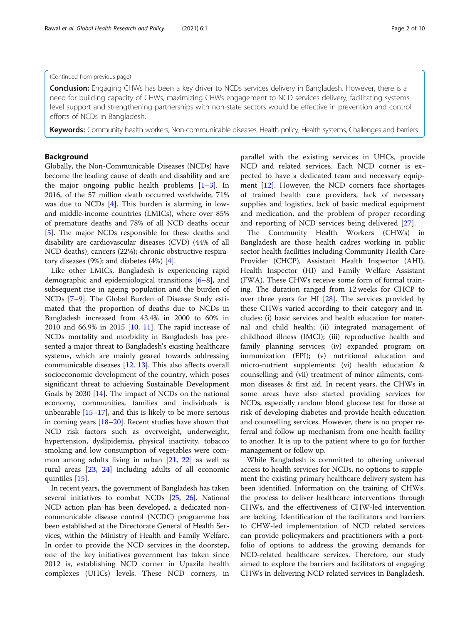#### (Continued from previous page)

**Conclusion:** Engaging CHWs has been a key driver to NCDs services delivery in Bangladesh. However, there is a need for building capacity of CHWs, maximizing CHWs engagement to NCD services delivery, facilitating systemslevel support and strengthening partnerships with non-state sectors would be effective in prevention and control efforts of NCDs in Bangladesh.

Keywords: Community health workers, Non-communicable diseases, Health policy, Health systems, Challenges and barriers

#### Background

Globally, the Non-Communicable Diseases (NCDs) have become the leading cause of death and disability and are the major ongoing public health problems [[1](#page-8-0)–[3](#page-8-0)]. In 2016, of the 57 million death occurred worldwide, 71% was due to NCDs [[4\]](#page-8-0). This burden is alarming in lowand middle-income countries (LMICs), where over 85% of premature deaths and 78% of all NCD deaths occur [[5\]](#page-8-0). The major NCDs responsible for these deaths and disability are cardiovascular diseases (CVD) (44% of all NCD deaths); cancers (22%); chronic obstructive respiratory diseases (9%); and diabetes (4%) [[4](#page-8-0)].

Like other LMICs, Bangladesh is experiencing rapid demographic and epidemiological transitions [[6](#page-8-0)–[8](#page-8-0)], and subsequent rise in ageing population and the burden of NCDs [[7](#page-8-0)–[9\]](#page-8-0). The Global Burden of Disease Study estimated that the proportion of deaths due to NCDs in Bangladesh increased from 43.4% in 2000 to 60% in 2010 and 66.9% in 2015 [\[10](#page-9-0), [11](#page-9-0)]. The rapid increase of NCDs mortality and morbidity in Bangladesh has presented a major threat to Bangladesh's existing healthcare systems, which are mainly geared towards addressing communicable diseases [\[12,](#page-9-0) [13](#page-9-0)]. This also affects overall socioeconomic development of the country, which poses significant threat to achieving Sustainable Development Goals by 2030 [\[14\]](#page-9-0). The impact of NCDs on the national economy, communities, families and individuals is unbearable  $[15-17]$  $[15-17]$  $[15-17]$  $[15-17]$ , and this is likely to be more serious in coming years [[18](#page-9-0)–[20](#page-9-0)]. Recent studies have shown that NCD risk factors such as overweight, underweight, hypertension, dyslipidemia, physical inactivity, tobacco smoking and low consumption of vegetables were common among adults living in urban [[21,](#page-9-0) [22](#page-9-0)] as well as rural areas [[23](#page-9-0), [24](#page-9-0)] including adults of all economic quintiles [[15\]](#page-9-0).

In recent years, the government of Bangladesh has taken several initiatives to combat NCDs [[25](#page-9-0), [26\]](#page-9-0). National NCD action plan has been developed, a dedicated noncommunicable disease control (NCDC) programme has been established at the Directorate General of Health Services, within the Ministry of Health and Family Welfare. In order to provide the NCD services in the doorstep, one of the key initiatives government has taken since 2012 is, establishing NCD corner in Upazila health complexes (UHCs) levels. These NCD corners, in

parallel with the existing services in UHCs, provide NCD and related services. Each NCD corner is expected to have a dedicated team and necessary equipment [\[12](#page-9-0)]. However, the NCD corners face shortages of trained health care providers, lack of necessary supplies and logistics, lack of basic medical equipment and medication, and the problem of proper recording and reporting of NCD services being delivered [[27\]](#page-9-0).

The Community Health Workers (CHWs) in Bangladesh are those health cadres working in public sector health facilities including Community Health Care Provider (CHCP), Assistant Health Inspector (AHI), Health Inspector (HI) and Family Welfare Assistant (FWA). These CHWs receive some form of formal training. The duration ranged from 12 weeks for CHCP to over three years for HI [\[28](#page-9-0)]. The services provided by these CHWs varied according to their category and includes: (i) basic services and health education for maternal and child health; (ii) integrated management of childhood illness (IMCI); (iii) reproductive health and family planning services; (iv) expanded program on immunization (EPI); (v) nutritional education and micro-nutrient supplements; (vi) health education & counselling; and (vii) treatment of minor ailments, common diseases & first aid. In recent years, the CHWs in some areas have also started providing services for NCDs, especially random blood glucose test for those at risk of developing diabetes and provide health education and counselling services. However, there is no proper referral and follow up mechanism from one health facility to another. It is up to the patient where to go for further management or follow up.

While Bangladesh is committed to offering universal access to health services for NCDs, no options to supplement the existing primary healthcare delivery system has been identified. Information on the training of CHWs, the process to deliver healthcare interventions through CHWs, and the effectiveness of CHW-led intervention are lacking. Identification of the facilitators and barriers to CHW-led implementation of NCD related services can provide policymakers and practitioners with a portfolio of options to address the growing demands for NCD-related healthcare services. Therefore, our study aimed to explore the barriers and facilitators of engaging CHWs in delivering NCD related services in Bangladesh.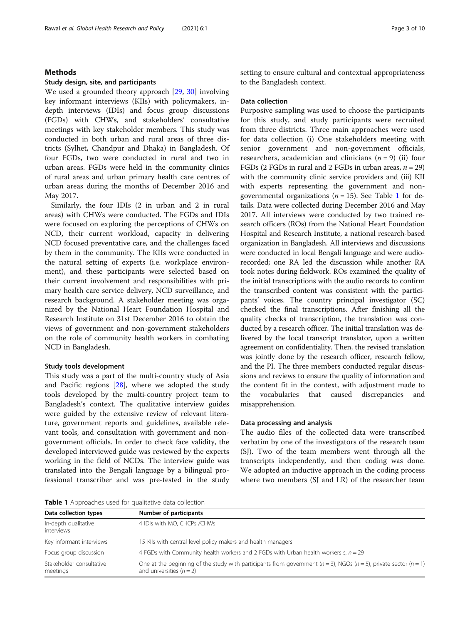#### Rawal et al. Global Health Research and Policy (2021) 6:1 Page 3 of 10

#### Methods

#### Study design, site, and participants

We used a grounded theory approach [\[29](#page-9-0), [30\]](#page-9-0) involving key informant interviews (KIIs) with policymakers, indepth interviews (IDIs) and focus group discussions (FGDs) with CHWs, and stakeholders' consultative meetings with key stakeholder members. This study was conducted in both urban and rural areas of three districts (Sylhet, Chandpur and Dhaka) in Bangladesh. Of four FGDs, two were conducted in rural and two in urban areas. FGDs were held in the community clinics of rural areas and urban primary health care centres of urban areas during the months of December 2016 and May 2017.

Similarly, the four IDIs (2 in urban and 2 in rural areas) with CHWs were conducted. The FGDs and IDIs were focused on exploring the perceptions of CHWs on NCD, their current workload, capacity in delivering NCD focused preventative care, and the challenges faced by them in the community. The KIIs were conducted in the natural setting of experts (i.e. workplace environment), and these participants were selected based on their current involvement and responsibilities with primary health care service delivery, NCD surveillance, and research background. A stakeholder meeting was organized by the National Heart Foundation Hospital and Research Institute on 31st December 2016 to obtain the views of government and non-government stakeholders on the role of community health workers in combating NCD in Bangladesh.

#### Study tools development

This study was a part of the multi-country study of Asia and Pacific regions [[28](#page-9-0)], where we adopted the study tools developed by the multi-country project team to Bangladesh's context. The qualitative interview guides were guided by the extensive review of relevant literature, government reports and guidelines, available relevant tools, and consultation with government and nongovernment officials. In order to check face validity, the developed interviewed guide was reviewed by the experts working in the field of NCDs. The interview guide was translated into the Bengali language by a bilingual professional transcriber and was pre-tested in the study setting to ensure cultural and contextual appropriateness to the Bangladesh context.

#### Data collection

Purposive sampling was used to choose the participants for this study, and study participants were recruited from three districts. Three main approaches were used for data collection (i) One stakeholders meeting with senior government and non-government officials, researchers, academician and clinicians  $(n = 9)$  (ii) four FGDs (2 FGDs in rural and 2 FGDs in urban areas,  $n = 29$ ) with the community clinic service providers and (iii) KII with experts representing the government and nongovernmental organizations ( $n = 15$ ). See Table 1 for details. Data were collected during December 2016 and May 2017. All interviews were conducted by two trained research officers (ROs) from the National Heart Foundation Hospital and Research Institute, a national research-based organization in Bangladesh. All interviews and discussions were conducted in local Bengali language and were audiorecorded; one RA led the discussion while another RA took notes during fieldwork. ROs examined the quality of the initial transcriptions with the audio records to confirm the transcribed content was consistent with the participants' voices. The country principal investigator (SC) checked the final transcriptions. After finishing all the quality checks of transcription, the translation was conducted by a research officer. The initial translation was delivered by the local transcript translator, upon a written agreement on confidentiality. Then, the revised translation was jointly done by the research officer, research fellow, and the PI. The three members conducted regular discussions and reviews to ensure the quality of information and the content fit in the context, with adjustment made to the vocabularies that caused discrepancies and misapprehension.

#### Data processing and analysis

The audio files of the collected data were transcribed verbatim by one of the investigators of the research team (SJ). Two of the team members went through all the transcripts independently, and then coding was done. We adopted an inductive approach in the coding process where two members (SJ and LR) of the researcher team

**The 1** Approaches used for qualitative data collection

| <b>Table I</b> Apploaches used for qualitative data collection |                                                                                                                                                             |  |  |
|----------------------------------------------------------------|-------------------------------------------------------------------------------------------------------------------------------------------------------------|--|--|
| Data collection types                                          | Number of participants                                                                                                                                      |  |  |
| In-depth qualitative<br>interviews                             | 4 IDIs with MO, CHCPs /CHWs                                                                                                                                 |  |  |
| Key informant interviews                                       | 15 Klls with central level policy makers and health managers                                                                                                |  |  |
| Focus group discussion                                         | 4 FGDs with Community health workers and 2 FGDs with Urban health workers s, $n = 29$                                                                       |  |  |
| Stakeholder consultative<br>meetings                           | One at the beginning of the study with participants from government ( $n = 3$ ), NGOs ( $n = 5$ ), private sector ( $n = 1$ )<br>and universities $(n = 2)$ |  |  |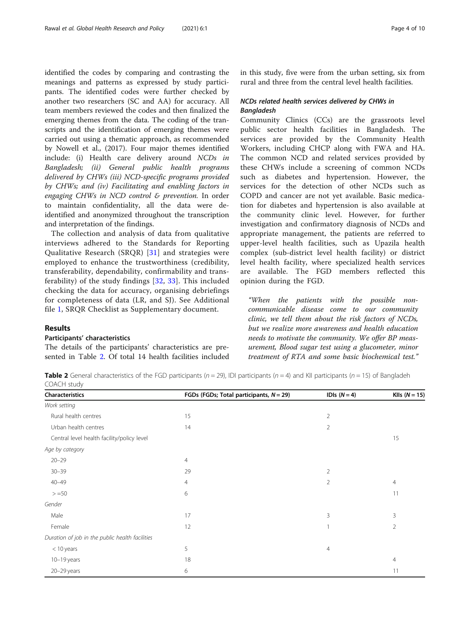identified the codes by comparing and contrasting the meanings and patterns as expressed by study participants. The identified codes were further checked by another two researchers (SC and AA) for accuracy. All team members reviewed the codes and then finalized the emerging themes from the data. The coding of the transcripts and the identification of emerging themes were carried out using a thematic approach, as recommended by Nowell et al., (2017). Four major themes identified include: (i) Health care delivery around NCDs in Bangladesh; (ii) General public health programs delivered by CHWs (iii) NCD-specific programs provided by CHWs; and (iv) Facilitating and enabling factors in engaging CHWs in NCD control & prevention. In order to maintain confidentiality, all the data were deidentified and anonymized throughout the transcription and interpretation of the findings.

The collection and analysis of data from qualitative interviews adhered to the Standards for Reporting Qualitative Research (SRQR) [\[31](#page-9-0)] and strategies were employed to enhance the trustworthiness (credibility, transferability, dependability, confirmability and transferability) of the study findings [[32,](#page-9-0) [33\]](#page-9-0). This included checking the data for accuracy, organising debriefings for completeness of data (LR, and SJ). See Additional file [1,](#page-8-0) SRQR Checklist as Supplementary document.

#### Results

#### Participants' characteristics

The details of the participants' characteristics are presented in Table 2. Of total 14 health facilities included in this study, five were from the urban setting, six from rural and three from the central level health facilities.

#### NCDs related health services delivered by CHWs in Bangladesh

Community Clinics (CCs) are the grassroots level public sector health facilities in Bangladesh. The services are provided by the Community Health Workers, including CHCP along with FWA and HA. The common NCD and related services provided by these CHWs include a screening of common NCDs such as diabetes and hypertension. However, the services for the detection of other NCDs such as COPD and cancer are not yet available. Basic medication for diabetes and hypertension is also available at the community clinic level. However, for further investigation and confirmatory diagnosis of NCDs and appropriate management, the patients are referred to upper-level health facilities, such as Upazila health complex (sub-district level health facility) or district level health facility, where specialized health services are available. The FGD members reflected this opinion during the FGD.

"When the patients with the possible noncommunicable disease come to our community clinic, we tell them about the risk factors of NCDs, but we realize more awareness and health education needs to motivate the community. We offer BP measurement, Blood sugar test using a glucometer, minor treatment of RTA and some basic biochemical test."

**Table 2** General characteristics of the FGD participants ( $n = 29$ ), IDI participants ( $n = 4$ ) and KII participants ( $n = 15$ ) of Bangladeh COACH study

| <b>Characteristics</b>                          | FGDs (FGDs; Total participants, $N = 29$ ) | IDIs $(N=4)$   | KIIs $(N = 15)$ |
|-------------------------------------------------|--------------------------------------------|----------------|-----------------|
| Work setting                                    |                                            |                |                 |
| Rural health centres                            | 15                                         | $\overline{2}$ |                 |
| Urban health centres                            | 14                                         | $\overline{2}$ |                 |
| Central level health facility/policy level      |                                            |                | 15              |
| Age by category                                 |                                            |                |                 |
| $20 - 29$                                       | 4                                          |                |                 |
| $30 - 39$                                       | 29                                         | $\overline{2}$ |                 |
| $40 - 49$                                       | $\overline{4}$                             | $\overline{2}$ | $\overline{4}$  |
| $> = 50$                                        | 6                                          |                | 11              |
| Gender                                          |                                            |                |                 |
| Male                                            | 17                                         | 3              | 3               |
| Female                                          | 12                                         |                | $\overline{2}$  |
| Duration of job in the public health facilities |                                            |                |                 |
| $<$ 10 years                                    | 5                                          | $\overline{4}$ |                 |
| $10-19$ years                                   | 18                                         |                | 4               |
| 20-29 years                                     | 6                                          |                | 11              |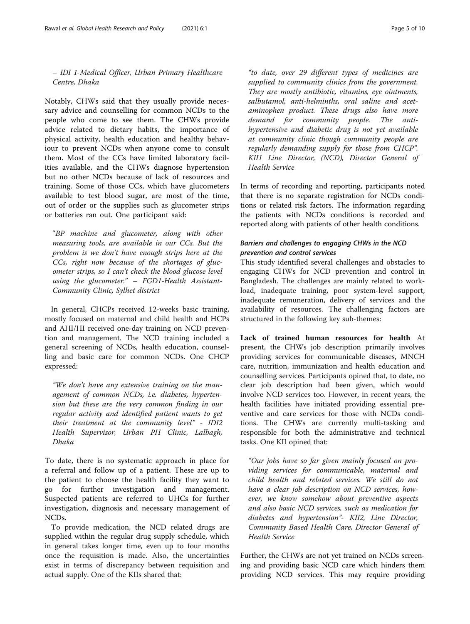– IDI 1-Medical Officer, Urban Primary Healthcare Centre, Dhaka

Notably, CHWs said that they usually provide necessary advice and counselling for common NCDs to the people who come to see them. The CHWs provide advice related to dietary habits, the importance of physical activity, health education and healthy behaviour to prevent NCDs when anyone come to consult them. Most of the CCs have limited laboratory facilities available, and the CHWs diagnose hypertension but no other NCDs because of lack of resources and training. Some of those CCs, which have glucometers available to test blood sugar, are most of the time, out of order or the supplies such as glucometer strips or batteries ran out. One participant said:

"BP machine and glucometer, along with other measuring tools, are available in our CCs. But the problem is we don't have enough strips here at the CCs, right now because of the shortages of glucometer strips, so I can't check the blood glucose level using the glucometer." – FGD1-Health Assistant-Community Clinic, Sylhet district

In general, CHCPs received 12-weeks basic training, mostly focused on maternal and child health and HCPs and AHI/HI received one-day training on NCD prevention and management. The NCD training included a general screening of NCDs, health education, counselling and basic care for common NCDs. One CHCP expressed:

"We don't have any extensive training on the management of common NCDs, i.e. diabetes, hypertension but these are the very common finding in our regular activity and identified patient wants to get their treatment at the community level" - IDI2 Health Supervisor, Urban PH Clinic, Lalbagh, Dhaka

To date, there is no systematic approach in place for a referral and follow up of a patient. These are up to the patient to choose the health facility they want to go for further investigation and management. Suspected patients are referred to UHCs for further investigation, diagnosis and necessary management of NCDs.

To provide medication, the NCD related drugs are supplied within the regular drug supply schedule, which in general takes longer time, even up to four months once the requisition is made. Also, the uncertainties exist in terms of discrepancy between requisition and actual supply. One of the KIIs shared that:

They are mostly antibiotic, vitamins, eye ointments, salbutamol, anti-helminths, oral saline and acetaminophen product. These drugs also have more demand for community people. The antihypertensive and diabetic drug is not yet available at community clinic though community people are regularly demanding supply for those from CHCP". KII1 Line Director, (NCD), Director General of Health Service

In terms of recording and reporting, participants noted that there is no separate registration for NCDs conditions or related risk factors. The information regarding the patients with NCDs conditions is recorded and reported along with patients of other health conditions.

#### Barriers and challenges to engaging CHWs in the NCD prevention and control services

This study identified several challenges and obstacles to engaging CHWs for NCD prevention and control in Bangladesh. The challenges are mainly related to workload, inadequate training, poor system-level support, inadequate remuneration, delivery of services and the availability of resources. The challenging factors are structured in the following key sub-themes:

Lack of trained human resources for health At present, the CHWs job description primarily involves providing services for communicable diseases, MNCH care, nutrition, immunization and health education and counselling services. Participants opined that, to date, no clear job description had been given, which would involve NCD services too. However, in recent years, the health facilities have initiated providing essential preventive and care services for those with NCDs conditions. The CHWs are currently multi-tasking and responsible for both the administrative and technical tasks. One KII opined that:

"Our jobs have so far given mainly focused on providing services for communicable, maternal and child health and related services. We still do not have a clear job description on NCD services, however, we know somehow about preventive aspects and also basic NCD services, such as medication for diabetes and hypertension"- KII2, Line Director, Community Based Health Care, Director General of Health Service

Further, the CHWs are not yet trained on NCDs screening and providing basic NCD care which hinders them providing NCD services. This may require providing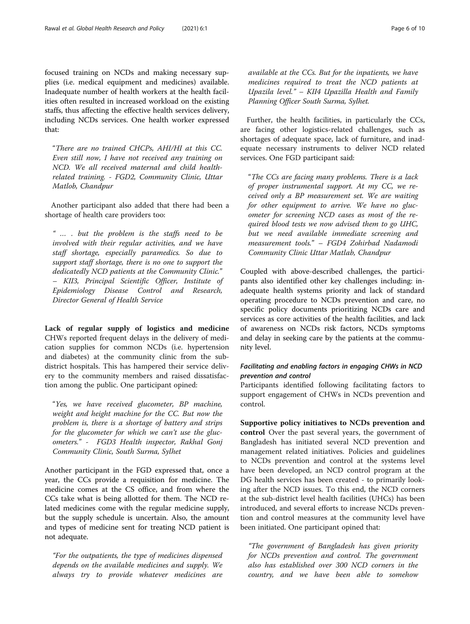focused training on NCDs and making necessary supplies (i.e. medical equipment and medicines) available. Inadequate number of health workers at the health facilities often resulted in increased workload on the existing staffs, thus affecting the effective health services delivery, including NCDs services. One health worker expressed that:

"There are no trained CHCPs, AHI/HI at this CC. Even still now, I have not received any training on NCD. We all received maternal and child healthrelated training. - FGD2, Community Clinic, Uttar Matlob, Chandpur

Another participant also added that there had been a shortage of health care providers too:

" … . but the problem is the staffs need to be involved with their regular activities, and we have staff shortage, especially paramedics. So due to support staff shortage, there is no one to support the dedicatedly NCD patients at the Community Clinic." – KII3, Principal Scientific Officer, Institute of Epidemiology Disease Control and Research, Director General of Health Service

Lack of regular supply of logistics and medicine CHWs reported frequent delays in the delivery of medication supplies for common NCDs (i.e. hypertension and diabetes) at the community clinic from the subdistrict hospitals. This has hampered their service delivery to the community members and raised dissatisfaction among the public. One participant opined:

"Yes, we have received glucometer, BP machine, weight and height machine for the CC. But now the problem is, there is a shortage of battery and strips for the glucometer for which we can't use the glucometers." - FGD3 Health inspector, Rakhal Gonj Community Clinic, South Surma, Sylhet

Another participant in the FGD expressed that, once a year, the CCs provide a requisition for medicine. The medicine comes at the CS office, and from where the CCs take what is being allotted for them. The NCD related medicines come with the regular medicine supply, but the supply schedule is uncertain. Also, the amount and types of medicine sent for treating NCD patient is not adequate.

"For the outpatients, the type of medicines dispensed depends on the available medicines and supply. We always try to provide whatever medicines are

available at the CCs. But for the inpatients, we have medicines required to treat the NCD patients at Upazila level." – KII4 Upazilla Health and Family Planning Officer South Surma, Sylhet.

Further, the health facilities, in particularly the CCs, are facing other logistics-related challenges, such as shortages of adequate space, lack of furniture, and inadequate necessary instruments to deliver NCD related services. One FGD participant said:

"The CCs are facing many problems. There is a lack of proper instrumental support. At my CC, we received only a BP measurement set. We are waiting for other equipment to arrive. We have no glucometer for screening NCD cases as most of the required blood tests we now advised them to go UHC, but we need available immediate screening and measurement tools." – FGD4 Zohirbad Nadamodi Community Clinic Uttar Matlab, Chandpur

Coupled with above-described challenges, the participants also identified other key challenges including: inadequate health systems priority and lack of standard operating procedure to NCDs prevention and care, no specific policy documents prioritizing NCDs care and services as core activities of the health facilities, and lack of awareness on NCDs risk factors, NCDs symptoms and delay in seeking care by the patients at the community level.

## Facilitating and enabling factors in engaging CHWs in NCD prevention and control

Participants identified following facilitating factors to support engagement of CHWs in NCDs prevention and control.

Supportive policy initiatives to NCDs prevention and control Over the past several years, the government of Bangladesh has initiated several NCD prevention and management related initiatives. Policies and guidelines to NCDs prevention and control at the systems level have been developed, an NCD control program at the DG health services has been created - to primarily looking after the NCD issues. To this end, the NCD corners at the sub-district level health facilities (UHCs) has been introduced, and several efforts to increase NCDs prevention and control measures at the community level have been initiated. One participant opined that:

"The government of Bangladesh has given priority for NCDs prevention and control. The government also has established over 300 NCD corners in the country, and we have been able to somehow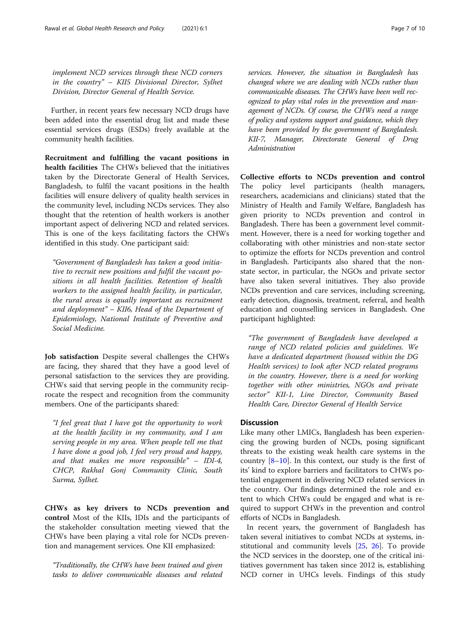implement NCD services through these NCD corners in the country" – KII5 Divisional Director, Sylhet Division, Director General of Health Service.

Further, in recent years few necessary NCD drugs have been added into the essential drug list and made these essential services drugs (ESDs) freely available at the community health facilities.

Recruitment and fulfilling the vacant positions in health facilities The CHWs believed that the initiatives taken by the Directorate General of Health Services, Bangladesh, to fulfil the vacant positions in the health facilities will ensure delivery of quality health services in the community level, including NCDs services. They also thought that the retention of health workers is another important aspect of delivering NCD and related services. This is one of the keys facilitating factors the CHWs identified in this study. One participant said:

"Government of Bangladesh has taken a good initiative to recruit new positions and fulfil the vacant positions in all health facilities. Retention of health workers to the assigned health facility, in particular, the rural areas is equally important as recruitment and deployment" – KII6, Head of the Department of Epidemiology, National Institute of Preventive and Social Medicine.

Job satisfaction Despite several challenges the CHWs are facing, they shared that they have a good level of personal satisfaction to the services they are providing. CHWs said that serving people in the community reciprocate the respect and recognition from the community members. One of the participants shared:

"I feel great that I have got the opportunity to work at the health facility in my community, and I am serving people in my area. When people tell me that I have done a good job, I feel very proud and happy, and that makes me more responsible" – IDI-4, CHCP, Rakhal Gonj Community Clinic, South Surma, Sylhet.

CHWs as key drivers to NCDs prevention and control Most of the KIIs, IDIs and the participants of the stakeholder consultation meeting viewed that the CHWs have been playing a vital role for NCDs prevention and management services. One KII emphasized:

"Traditionally, the CHWs have been trained and given tasks to deliver communicable diseases and related services. However, the situation in Bangladesh has changed where we are dealing with NCDs rather than communicable diseases. The CHWs have been well recognized to play vital roles in the prevention and management of NCDs. Of course, the CHWs need a range of policy and systems support and guidance, which they have been provided by the government of Bangladesh. KII-7, Manager, Directorate General of Drug Administration

Collective efforts to NCDs prevention and control The policy level participants (health managers, researchers, academicians and clinicians) stated that the Ministry of Health and Family Welfare, Bangladesh has given priority to NCDs prevention and control in Bangladesh. There has been a government level commitment. However, there is a need for working together and collaborating with other ministries and non-state sector to optimize the efforts for NCDs prevention and control in Bangladesh. Participants also shared that the nonstate sector, in particular, the NGOs and private sector have also taken several initiatives. They also provide NCDs prevention and care services, including screening, early detection, diagnosis, treatment, referral, and health education and counselling services in Bangladesh. One participant highlighted:

"The government of Bangladesh have developed a range of NCD related policies and guidelines. We have a dedicated department (housed within the DG Health services) to look after NCD related programs in the country. However, there is a need for working together with other ministries, NGOs and private sector" KII-1, Line Director, Community Based Health Care, Director General of Health Service

#### **Discussion**

Like many other LMICs, Bangladesh has been experiencing the growing burden of NCDs, posing significant threats to the existing weak health care systems in the country [\[8](#page-8-0)–[10\]](#page-9-0). In this context, our study is the first of its' kind to explore barriers and facilitators to CHWs potential engagement in delivering NCD related services in the country. Our findings determined the role and extent to which CHWs could be engaged and what is required to support CHWs in the prevention and control efforts of NCDs in Bangladesh.

In recent years, the government of Bangladesh has taken several initiatives to combat NCDs at systems, institutional and community levels [[25,](#page-9-0) [26\]](#page-9-0). To provide the NCD services in the doorstep, one of the critical initiatives government has taken since 2012 is, establishing NCD corner in UHCs levels. Findings of this study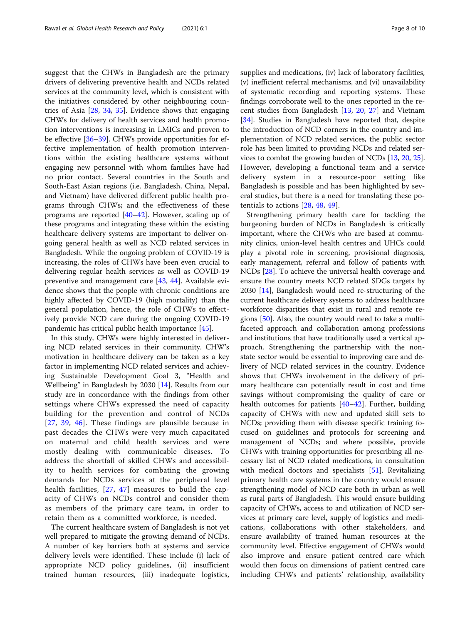suggest that the CHWs in Bangladesh are the primary drivers of delivering preventive health and NCDs related services at the community level, which is consistent with the initiatives considered by other neighbouring countries of Asia [[28](#page-9-0), [34](#page-9-0), [35](#page-9-0)]. Evidence shows that engaging CHWs for delivery of health services and health promotion interventions is increasing in LMICs and proven to be effective [[36](#page-9-0)–[39](#page-9-0)]. CHWs provide opportunities for effective implementation of health promotion interventions within the existing healthcare systems without engaging new personnel with whom families have had no prior contact. Several countries in the South and South-East Asian regions (i.e. Bangladesh, China, Nepal, and Vietnam) have delivered different public health programs through CHWs; and the effectiveness of these programs are reported [\[40](#page-9-0)–[42\]](#page-9-0). However, scaling up of these programs and integrating these within the existing healthcare delivery systems are important to deliver ongoing general health as well as NCD related services in Bangladesh. While the ongoing problem of COVID-19 is increasing, the roles of CHWs have been even crucial to delivering regular health services as well as COVID-19 preventive and management care [[43](#page-9-0), [44\]](#page-9-0). Available evidence shows that the people with chronic conditions are highly affected by COVID-19 (high mortality) than the general population, hence, the role of CHWs to effectively provide NCD care during the ongoing COVID-19 pandemic has critical public health importance [\[45](#page-9-0)].

In this study, CHWs were highly interested in delivering NCD related services in their community. CHW's motivation in healthcare delivery can be taken as a key factor in implementing NCD related services and achieving Sustainable Development Goal 3, "Health and Wellbeing" in Bangladesh by 2030 [\[14](#page-9-0)]. Results from our study are in concordance with the findings from other settings where CHWs expressed the need of capacity building for the prevention and control of NCDs [[27](#page-9-0), [39,](#page-9-0) [46\]](#page-9-0). These findings are plausible because in past decades the CHWs were very much capacitated on maternal and child health services and were mostly dealing with communicable diseases. To address the shortfall of skilled CHWs and accessibility to health services for combating the growing demands for NCDs services at the peripheral level health facilities, [[27,](#page-9-0) [47](#page-9-0)] measures to build the capacity of CHWs on NCDs control and consider them as members of the primary care team, in order to retain them as a committed workforce, is needed.

The current healthcare system of Bangladesh is not yet well prepared to mitigate the growing demand of NCDs. A number of key barriers both at systems and service delivery levels were identified. These include (i) lack of appropriate NCD policy guidelines, (ii) insufficient trained human resources, (iii) inadequate logistics, supplies and medications, (iv) lack of laboratory facilities, (v) inefficient referral mechanisms, and (vi) unavailability of systematic recording and reporting systems. These findings corroborate well to the ones reported in the recent studies from Bangladesh [[13](#page-9-0), [20](#page-9-0), [27](#page-9-0)] and Vietnam [[34\]](#page-9-0). Studies in Bangladesh have reported that, despite the introduction of NCD corners in the country and implementation of NCD related services, the public sector role has been limited to providing NCDs and related services to combat the growing burden of NCDs [\[13](#page-9-0), [20,](#page-9-0) [25](#page-9-0)]. However, developing a functional team and a service delivery system in a resource-poor setting like Bangladesh is possible and has been highlighted by several studies, but there is a need for translating these potentials to actions [[28,](#page-9-0) [48](#page-9-0), [49](#page-9-0)].

Strengthening primary health care for tackling the burgeoning burden of NCDs in Bangladesh is critically important, where the CHWs who are based at community clinics, union-level health centres and UHCs could play a pivotal role in screening, provisional diagnosis, early management, referral and follow of patients with NCDs [[28\]](#page-9-0). To achieve the universal health coverage and ensure the country meets NCD related SDGs targets by 2030 [\[14](#page-9-0)], Bangladesh would need re-structuring of the current healthcare delivery systems to address healthcare workforce disparities that exist in rural and remote regions [\[50](#page-9-0)]. Also, the country would need to take a multifaceted approach and collaboration among professions and institutions that have traditionally used a vertical approach. Strengthening the partnership with the nonstate sector would be essential to improving care and delivery of NCD related services in the country. Evidence shows that CHWs involvement in the delivery of primary healthcare can potentially result in cost and time savings without compromising the quality of care or health outcomes for patients [\[40](#page-9-0)–[42\]](#page-9-0). Further, building capacity of CHWs with new and updated skill sets to NCDs; providing them with disease specific training focused on guidelines and protocols for screening and management of NCDs; and where possible, provide CHWs with training opportunities for prescribing all necessary list of NCD related medications, in consultation with medical doctors and specialists [[51\]](#page-9-0). Revitalizing primary health care systems in the country would ensure strengthening model of NCD care both in urban as well as rural parts of Bangladesh. This would ensure building capacity of CHWs, access to and utilization of NCD services at primary care level, supply of logistics and medications, collaborations with other stakeholders, and ensure availability of trained human resources at the community level. Effective engagement of CHWs would also improve and ensure patient centred care which would then focus on dimensions of patient centred care including CHWs and patients' relationship, availability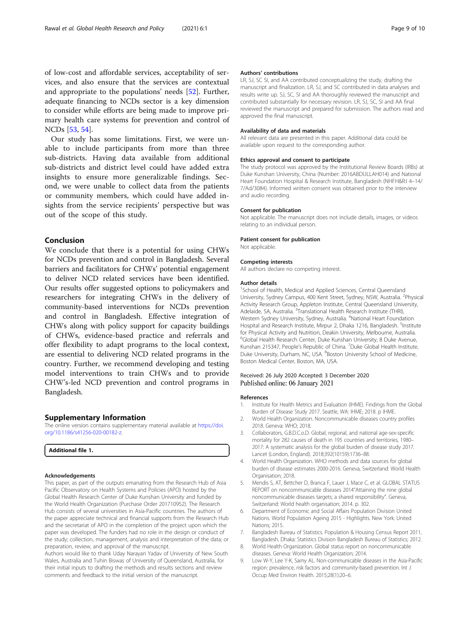<span id="page-8-0"></span>of low-cost and affordable services, acceptability of services, and also ensure that the services are contextual and appropriate to the populations' needs [[52\]](#page-9-0). Further, adequate financing to NCDs sector is a key dimension to consider while efforts are being made to improve primary health care systems for prevention and control of NCDs [[53,](#page-9-0) [54\]](#page-9-0).

Our study has some limitations. First, we were unable to include participants from more than three sub-districts. Having data available from additional sub-districts and district level could have added extra insights to ensure more generalizable findings. Second, we were unable to collect data from the patients or community members, which could have added insights from the service recipients' perspective but was out of the scope of this study.

### Conclusion

We conclude that there is a potential for using CHWs for NCDs prevention and control in Bangladesh. Several barriers and facilitators for CHWs' potential engagement to deliver NCD related services have been identified. Our results offer suggested options to policymakers and researchers for integrating CHWs in the delivery of community-based interventions for NCDs prevention and control in Bangladesh. Effective integration of CHWs along with policy support for capacity buildings of CHWs, evidence-based practice and referrals and offer flexibility to adapt programs to the local context, are essential to delivering NCD related programs in the country. Further, we recommend developing and testing model interventions to train CHWs and to provide CHW's-led NCD prevention and control programs in Bangladesh.

#### Supplementary Information

The online version contains supplementary material available at [https://doi.](https://doi.org/10.1186/s41256-020-00182-z) [org/10.1186/s41256-020-00182-z.](https://doi.org/10.1186/s41256-020-00182-z)

#### Additional file 1.

#### Acknowledgements

This paper, as part of the outputs emanating from the Research Hub of Asia Pacific Observatory on Health Systems and Policies (APO) hosted by the Global Health Research Center of Duke Kunshan University and funded by the World Health Organization (Purchase Order 201710952). The Research Hub consists of several universities in Asia-Pacific countries. The authors of the paper appreciate technical and financial supports from the Research Hub and the secretariat of APO in the completion of the project upon which the paper was developed. The funders had no role in the design or conduct of the study; collection, management, analysis and interpretation of the data; or preparation, review, and approval of the manuscript.

Authors would like to thank Uday Narayan Yadav of University of New South Wales, Australia and Tuhin Biswas of University of Queensland, Australia, for their initial inputs to drafting the methods and results sections and review comments and feedback to the initial version of the manuscript.

#### Authors' contributions

LR, SJ, SC SI, and AA contributed conceptualizing the study, drafting the manuscript and finalization. LR, SJ, and SC contributed in data analyses and results write up. SJ, SC, SI and AA thoroughly reviewed the manuscript and contributed substantially for necessary revision. LR, SJ, SC, SI and AA final reviewed the manuscript and prepared for submission. The authors read and approved the final manuscript.

#### Availability of data and materials

All relevant data are presented in this paper. Additional data could be available upon request to the corresponding author.

#### Ethics approval and consent to participate

The study protocol was approved by the Institutional Review Boards (IRBs) at Duke Kunshan University, China (Number: 2016ABDULLAH014) and National Heart Foundation Hospital & Research Institute, Bangladesh (NHFH&R:I 4–14/ 7/Ad/3084). Informed written consent was obtained prior to the interview and audio recording.

#### Consent for publication

Not applicable. The manuscript does not include details, images, or videos relating to an individual person.

#### Patient consent for publication

Not applicable.

#### Competing interests

All authors declare no competing interest.

#### Author details

<sup>1</sup>School of Health, Medical and Applied Sciences, Central Queensland University, Sydney Campus, 400 Kent Street, Sydney, NSW, Australia. <sup>2</sup>Physical Activity Research Group, Appleton Institute, Central Queensland University, Adelaide, SA, Australia. <sup>3</sup>Translational Health Research Institute (THRI), Western Sydney University, Sydney, Australia. <sup>4</sup>National Heart Foundation Hospital and Research Institute, Mirpur 2, Dhaka 1216, Bangladesh. <sup>5</sup>Institute for Physical Activity and Nutrition, Deakin University, Melbourne, Australia. 6 Global Health Research Center, Duke Kunshan University, 8 Duke Avenue, Kunshan 215347, People's Republic of China. <sup>7</sup>Duke Global Health Institute, Duke University, Durham, NC, USA. <sup>8</sup>Boston University School of Medicine, Boston Medical Center, Boston, MA, USA.

#### Received: 26 July 2020 Accepted: 3 December 2020 Published online: 06 January 2021

#### References

- 1. Institute for Health Metrics and Evaluation (IHME). Findings from the Global Burden of Disease Study 2017. Seattle, WA: IHME; 2018. p IHME.
- 2. World Health Organization. Noncommunicable diseases country profiles 2018. Geneva: WHO; 2018.
- 3. Collaborators, G.B.D.C.o.D. Global, regional, and national age-sex-specific mortality for 282 causes of death in 195 countries and territories, 1980– 2017: A systematic analysis for the global burden of disease study 2017. Lancet (London, England). 2018;392(10159):1736–88.
- 4. World Health Organization. WHO methods and data sources for global burden of disease estimates 2000-2016. Geneva, Switzerland: World Health Organisation; 2018.
- 5. Mendis S, AT, Bettcher D, Branca F, Lauer J, Mace C, et al. GLOBAL STATUS REPORT on noncommunicable diseases 2014"Attaining the nine global noncommunicable diseases targets; a shared responsibility". Geneva, Switzerland: World health organisation; 2014. p. 302.
- 6. Department of Economic and Social Affairs Population Division United Nations. World Population Ageing 2015 - Highlights. New York: United Nations; 2015.
- 7. Bangladesh Bureau of Statistics. Population & Housing Census Report 2011, Bangladesh. Dhaka: Statistics Division Bangladesh Bureau of Statistics; 2012.
- 8. World Health Organization. Global status report on noncommunicable diseases. Geneva: World Health Organization; 2014.
- 9. Low W-Y, Lee Y-K, Samy AL. Non-communicable diseases in the Asia-Pacific region: prevalence, risk factors and community-based prevention. Int J Occup Med Environ Health. 2015;28(1):20–6.